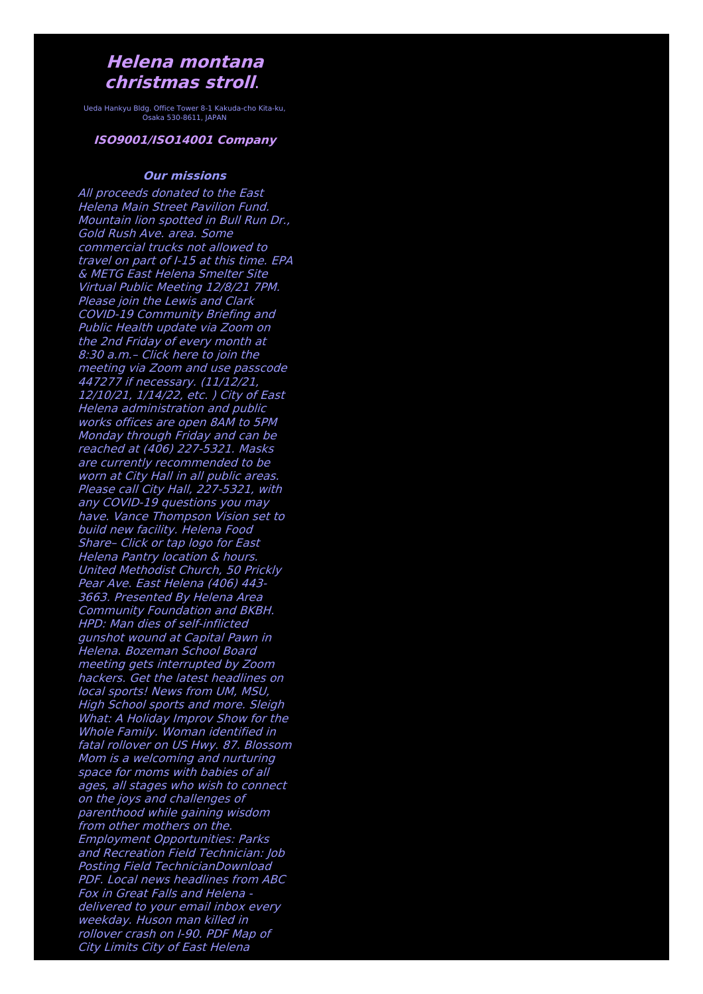## **Helena montana christmas stroll**.

Ueda Hankyu Bldg. Office Tower 8-1 Kakuda-cho Kita-ku, Osaka 530-8611, JAPAN

## **ISO9001/ISO14001 Company**

## **Our missions**

All proceeds donated to the East Helena Main Street Pavilion Fund. Mountain lion spotted in Bull Run Dr., Gold Rush Ave. area. Some commercial trucks not allowed to travel on part of I-15 at this time. EPA & METG East Helena Smelter Site Virtual Public Meeting 12/8/21 7PM. Please join the Lewis and Clark COVID-19 Community Briefing and Public Health update via Zoom on the 2nd Friday of every month at 8:30 a.m.– Click here to join the meeting via Zoom and use passcode 447277 if necessary. (11/12/21, 12/10/21, 1/14/22, etc. ) City of East Helena administration and public works offices are open 8AM to 5PM Monday through Friday and can be reached at (406) 227-5321. Masks are currently recommended to be worn at City Hall in all public areas. Please call City Hall, 227-5321, with any COVID-19 questions you may have. Vance Thompson Vision set to build new facility. Helena Food Share– Click or tap logo for East Helena Pantry location & hours. United Methodist Church, 50 Prickly Pear Ave. East Helena (406) 443- 3663. Presented By Helena Area Community Foundation and BKBH. HPD: Man dies of self-inflicted gunshot wound at Capital Pawn in Helena. Bozeman School Board meeting gets interrupted by Zoom hackers. Get the latest headlines on local sports! News from UM, MSU, High School sports and more. Sleigh What: A Holiday Improv Show for the Whole Family. Woman identified in fatal rollover on US Hwy. 87. Blossom Mom is <sup>a</sup> welcoming and nurturing space for moms with babies of all ages, all stages who wish to connect on the joys and challenges of parenthood while gaining wisdom from other mothers on the. Employment Opportunities: Parks and Recreation Field Technician: Job Posting Field TechnicianDownload PDF. Local news headlines from ABC Fox in Great Falls and Helena delivered to your email inbox every weekday. Huson man killed in rollover crash on I-90. PDF Map of City Limits City of East Helena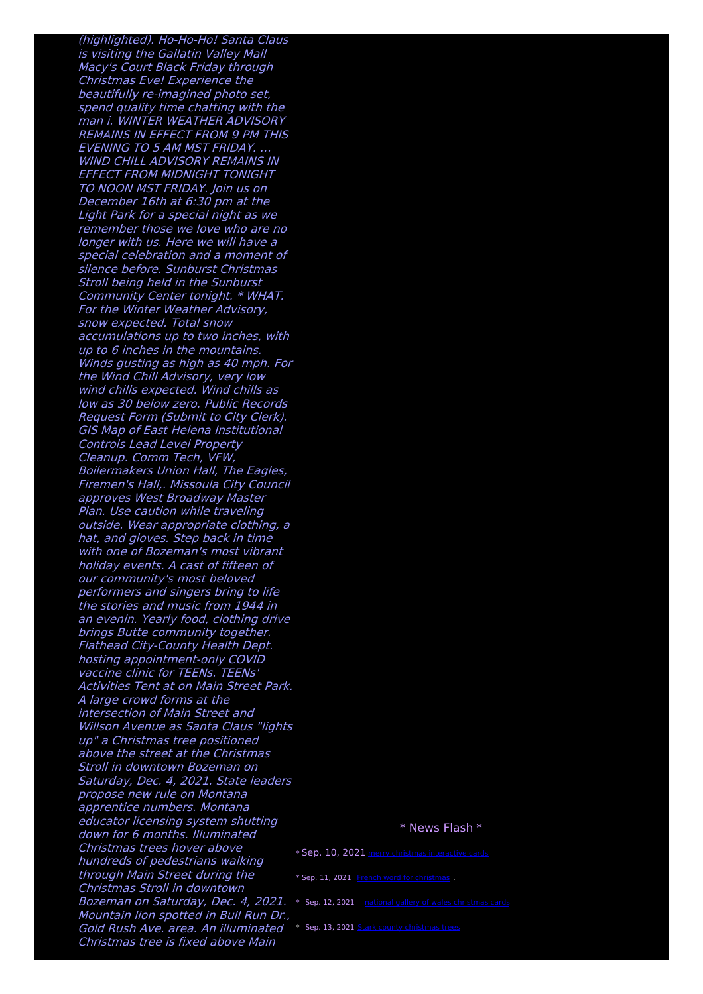(highlighted). Ho-Ho-Ho! Santa Claus is visiting the Gallatin Valley Mall Macy's Court Black Friday through Christmas Eve! Experience the beautifully re-imagined photo set, spend quality time chatting with the man i. WINTER WEATHER ADVISORY REMAINS IN EFFECT FROM 9 PM THIS EVENING TO 5 AM MST FRIDAY. … WIND CHILL ADVISORY REMAINS IN EFFECT FROM MIDNIGHT TONIGHT TO NOON MST FRIDAY. Join us on December 16th at 6:30 pm at the Light Park for <sup>a</sup> special night as we remember those we love who are no longer with us. Here we will have <sup>a</sup> special celebration and <sup>a</sup> moment of silence before. Sunburst Christmas Stroll being held in the Sunburst Community Center tonight. \* WHAT. For the Winter Weather Advisory, snow expected. Total snow accumulations up to two inches, with up to 6 inches in the mountains. Winds gusting as high as 40 mph. For the Wind Chill Advisory, very low wind chills expected. Wind chills as low as 30 below zero. Public Records Request Form (Submit to City Clerk). GIS Map of East Helena Institutional Controls Lead Level Property Cleanup. Comm Tech, VFW, Boilermakers Union Hall, The Eagles, Firemen's Hall,. Missoula City Council approves West Broadway Master Plan. Use caution while traveling outside. Wear appropriate clothing, <sup>a</sup> hat, and gloves. Step back in time with one of Bozeman's most vibrant holiday events. A cast of fifteen of our community's most beloved performers and singers bring to life the stories and music from 1944 in an evenin. Yearly food, clothing drive brings Butte community together. Flathead City-County Health Dept. hosting appointment-only COVID vaccine clinic for TEENs. TEENs' Activities Tent at on Main Street Park. A large crowd forms at the intersection of Main Street and Willson Avenue as Santa Claus "lights up" <sup>a</sup> Christmas tree positioned above the street at the Christmas Stroll in downtown Bozeman on Saturday, Dec. 4, 2021. State leaders propose new rule on Montana apprentice numbers. Montana educator licensing system shutting down for 6 months. Illuminated Christmas trees hover above hundreds of pedestrians walking through Main Street during the Christmas Stroll in downtown **Bozeman on Saturday, Dec. 4, 2021.** \* Sep. 12, 2021 <u>national gallery of wales [christmas](http://foto-ms.pl/detail/news/832006/chrismas/) cards</u> Mountain lion spotted in Bull Run Dr., Gold Rush Ave. area. An illuminated \* Sep. 13, 2021 Stark county [christmas](http://foto-ms.pl/detail/news/455070/chrismas/) trees Christmas tree is fixed above Main

## \* News Flash \*

\* Sep. 10, 2021 merry christmas [interactive](http://foto-ms.pl/detail/news/216305/chrismas/) cards \* Sep. 11, 2021 French word for [christmas](http://foto-ms.pl/detail/news/129048/chrismas/) .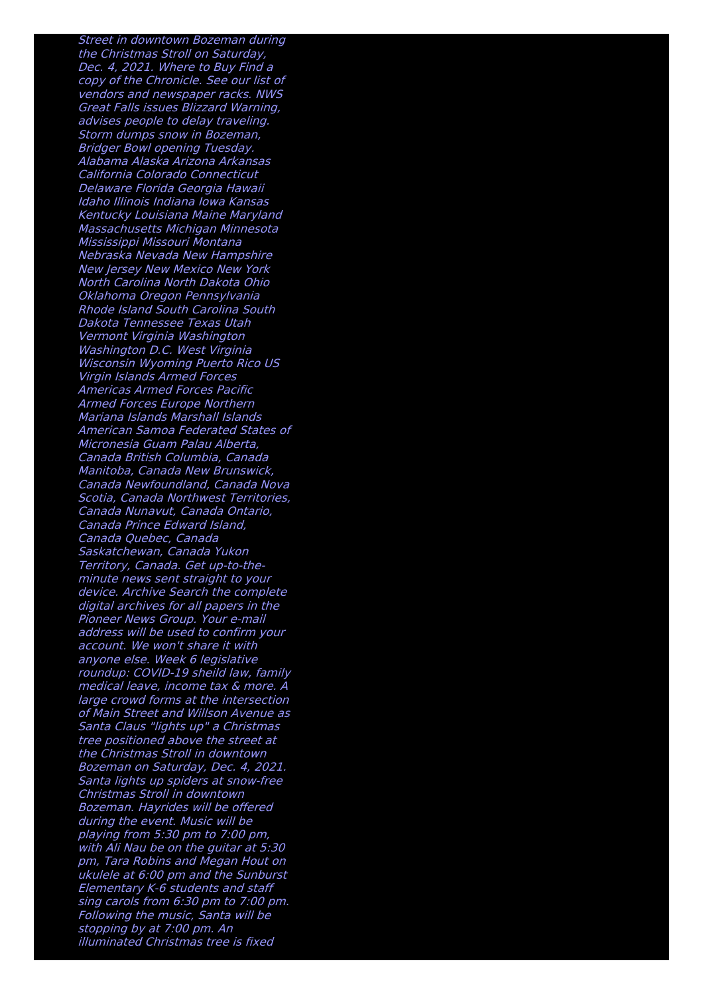Street in downtown Bozeman during the Christmas Stroll on Saturday, Dec. 4, 2021. Where to Buy Find <sup>a</sup> copy of the Chronicle. See our list of vendors and newspaper racks. NWS Great Falls issues Blizzard Warning, advises people to delay traveling. Storm dumps snow in Bozeman, Bridger Bowl opening Tuesday. Alabama Alaska Arizona Arkansas California Colorado Connecticut Delaware Florida Georgia Hawaii Idaho Illinois Indiana Iowa Kansas Kentucky Louisiana Maine Maryland Massachusetts Michigan Minnesota Mississippi Missouri Montana Nebraska Nevada New Hampshire New Jersey New Mexico New York North Carolina North Dakota Ohio Oklahoma Oregon Pennsylvania Rhode Island South Carolina South Dakota Tennessee Texas Utah Vermont Virginia Washington Washington D.C. West Virginia Wisconsin Wyoming Puerto Rico US Virgin Islands Armed Forces Americas Armed Forces Pacific Armed Forces Europe Northern Mariana Islands Marshall Islands American Samoa Federated States of Micronesia Guam Palau Alberta, Canada British Columbia, Canada Manitoba, Canada New Brunswick, Canada Newfoundland, Canada Nova Scotia, Canada Northwest Territories, Canada Nunavut, Canada Ontario, Canada Prince Edward Island, Canada Quebec, Canada Saskatchewan, Canada Yukon Territory, Canada. Get up-to-the minute news sent straight to your device. Archive Search the complete digital archives for all papers in the Pioneer News Group. Your e-mail address will be used to confirm your account. We won't share it with anyone else. Week 6 legislative roundup: COVID-19 sheild law, family medical leave, income tax & more. A large crowd forms at the intersection of Main Street and Willson Avenue as Santa Claus "lights up" <sup>a</sup> Christmas tree positioned above the street at the Christmas Stroll in downtown Bozeman on Saturday, Dec. 4, 2021. Santa lights up spiders at snow-free Christmas Stroll in downtown Bozeman. Hayrides will be offered during the event. Music will be playing from 5:30 pm to 7:00 pm, with Ali Nau be on the quitar at 5:30 pm, Tara Robins and Megan Hout on ukulele at 6:00 pm and the Sunburst Elementary K-6 students and staff sing carols from 6:30 pm to 7:00 pm. Following the music, Santa will be stopping by at 7:00 pm. An illuminated Christmas tree is fixed